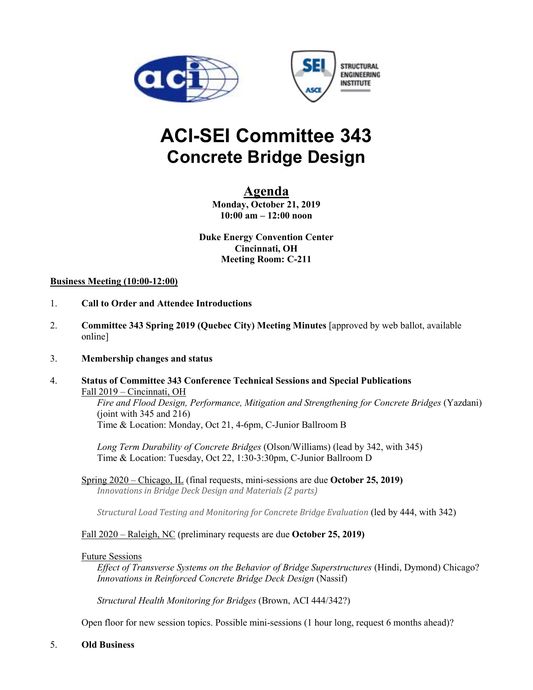



# **ACI-SEI Committee 343 Concrete Bridge Design**

## **Agenda**

**Monday, October 21, 2019 10:00 am – 12:00 noon** 

**Duke Energy Convention Center Cincinnati, OH Meeting Room: C-211** 

#### **Business Meeting (10:00-12:00)**

- 1. **Call to Order and Attendee Introductions**
- 2. **Committee 343 Spring 2019 (Quebec City) Meeting Minutes** [approved by web ballot, available online]
- 3. **Membership changes and status**
- 4. **Status of Committee 343 Conference Technical Sessions and Special Publications** Fall 2019 – Cincinnati, OH

*Fire and Flood Design, Performance, Mitigation and Strengthening for Concrete Bridges* (Yazdani)  $(joint with 345 and 216)$ Time & Location: Monday, Oct 21, 4-6pm, C-Junior Ballroom B

*Long Term Durability of Concrete Bridges* (Olson/Williams) (lead by 342, with 345) Time & Location: Tuesday, Oct 22, 1:30-3:30pm, C-Junior Ballroom D

Spring 2020 – Chicago, IL (final requests, mini-sessions are due **October 25, 2019)** *Innovations in Bridge Deck Design and Materials (2 parts)*

*Structural Load Testing and Monitoring for Concrete Bridge Evaluation* (led by 444, with 342)

#### Fall 2020 – Raleigh, NC (preliminary requests are due **October 25, 2019)**

#### Future Sessions

*Effect of Transverse Systems on the Behavior of Bridge Superstructures* (Hindi, Dymond) Chicago? *Innovations in Reinforced Concrete Bridge Deck Design* (Nassif)

*Structural Health Monitoring for Bridges* (Brown, ACI 444/342?)

Open floor for new session topics. Possible mini-sessions (1 hour long, request 6 months ahead)?

5. **Old Business**